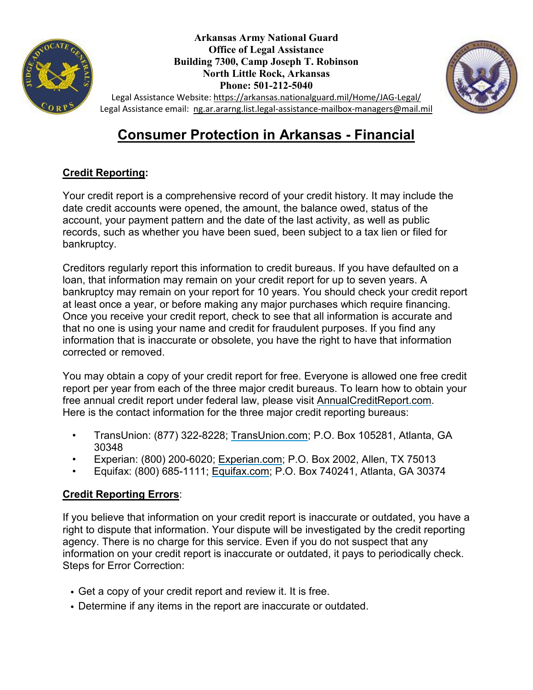



Legal Assistance Website:<https://arkansas.nationalguard.mil/Home/JAG-Legal/> Legal Assistance email: [ng.ar.ararng.list.legal-assistance-mailbox-managers@mail.mil](mailto:ng.ar.ararng.list.legal-assistance-mailbox-managers@mail.mil)

# **Consumer Protection in Arkansas - Financial**

## **Credit Reporting:**

Your credit report is a comprehensive record of your credit history. It may include the date credit accounts were opened, the amount, the balance owed, status of the account, your payment pattern and the date of the last activity, as well as public records, such as whether you have been sued, been subject to a tax lien or filed for bankruptcy.

Creditors regularly report this information to credit bureaus. If you have defaulted on a loan, that information may remain on your credit report for up to seven years. A bankruptcy may remain on your report for 10 years. You should check your credit report at least once a year, or before making any major purchases which require financing. Once you receive your credit report, check to see that all information is accurate and that no one is using your name and credit for fraudulent purposes. If you find any information that is inaccurate or obsolete, you have the right to have that information corrected or removed.

You may obtain a copy of your credit report for free. Everyone is allowed one free credit report per year from each of the three major credit bureaus. To learn how to obtain your free annual credit report under federal law, please visit AnnualCreditReport.com. Here is the contact information for the three major credit reporting bureaus:

- TransUnion: (877) 322-8228; [TransUnion.com;](http://www.transunion.com/) P.O. Box 105281, Atlanta, GA 30348
- Experian: (800) 200-6020; [Experian.com;](http://www.experian.com/) P.O. Box 2002, Allen, TX 75013
- Equifax: (800) 685-1111; [Equifax.com;](http://www.equifax.com/home/en_us) P.O. Box 740241, Atlanta, GA 30374

## **Credit Reporting Errors**:

If you believe that information on your credit report is inaccurate or outdated, you have a right to dispute that information. Your dispute will be investigated by the credit reporting agency. There is no charge for this service. Even if you do not suspect that any information on your credit report is inaccurate or outdated, it pays to periodically check. Steps for Error Correction:

- Get a copy of your credit report and review it. It is free.
- Determine if any items in the report are inaccurate or outdated.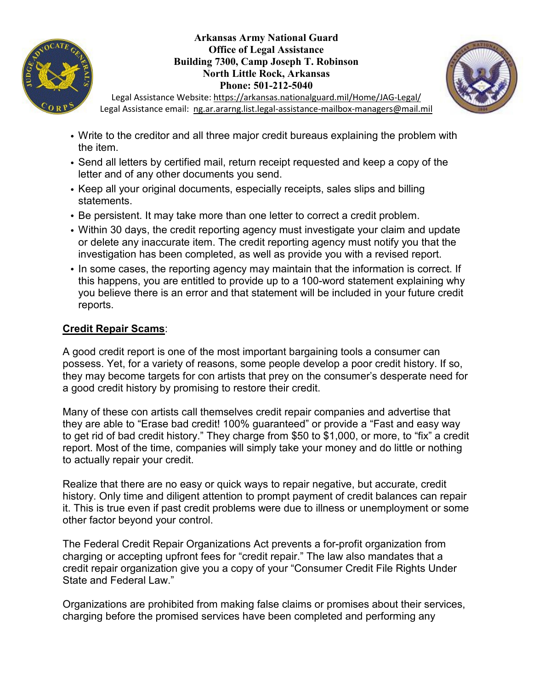



Legal Assistance Website:<https://arkansas.nationalguard.mil/Home/JAG-Legal/> Legal Assistance email: [ng.ar.ararng.list.legal-assistance-mailbox-managers@mail.mil](mailto:ng.ar.ararng.list.legal-assistance-mailbox-managers@mail.mil)

- Write to the creditor and all three major credit bureaus explaining the problem with the item.
- Send all letters by certified mail, return receipt requested and keep a copy of the letter and of any other documents you send.
- Keep all your original documents, especially receipts, sales slips and billing statements.
- Be persistent. It may take more than one letter to correct a credit problem.
- Within 30 days, the credit reporting agency must investigate your claim and update or delete any inaccurate item. The credit reporting agency must notify you that the investigation has been completed, as well as provide you with a revised report.
- In some cases, the reporting agency may maintain that the information is correct. If this happens, you are entitled to provide up to a 100-word statement explaining why you believe there is an error and that statement will be included in your future credit reports.

#### **Credit Repair Scams**:

A good credit report is one of the most important bargaining tools a consumer can possess. Yet, for a variety of reasons, some people develop a poor credit history. If so, they may become targets for con artists that prey on the consumer's desperate need for a good credit history by promising to restore their credit.

Many of these con artists call themselves credit repair companies and advertise that they are able to "Erase bad credit! 100% guaranteed" or provide a "Fast and easy way to get rid of bad credit history." They charge from \$50 to \$1,000, or more, to "fix" a credit report. Most of the time, companies will simply take your money and do little or nothing to actually repair your credit.

Realize that there are no easy or quick ways to repair negative, but accurate, credit history. Only time and diligent attention to prompt payment of credit balances can repair it. This is true even if past credit problems were due to illness or unemployment or some other factor beyond your control.

The Federal Credit Repair Organizations Act prevents a for-profit organization from charging or accepting upfront fees for "credit repair." The law also mandates that a credit repair organization give you a copy of your "Consumer Credit File Rights Under State and Federal Law."

Organizations are prohibited from making false claims or promises about their services, charging before the promised services have been completed and performing any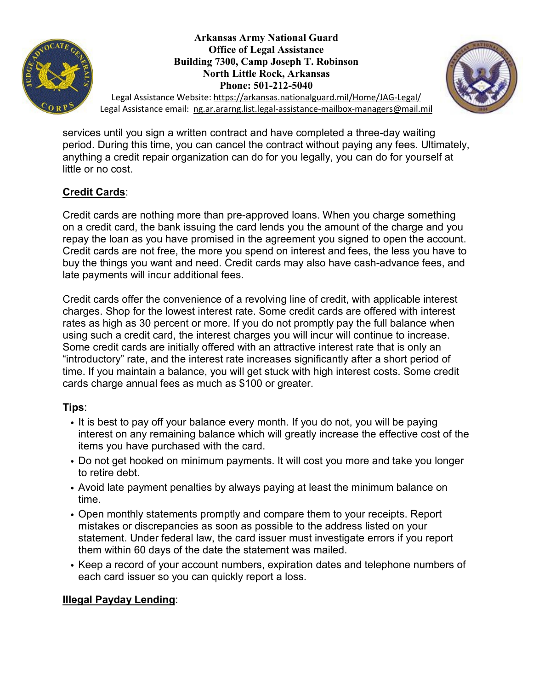



Legal Assistance Website:<https://arkansas.nationalguard.mil/Home/JAG-Legal/> Legal Assistance email: [ng.ar.ararng.list.legal-assistance-mailbox-managers@mail.mil](mailto:ng.ar.ararng.list.legal-assistance-mailbox-managers@mail.mil)

services until you sign a written contract and have completed a three-day waiting period. During this time, you can cancel the contract without paying any fees. Ultimately, anything a credit repair organization can do for you legally, you can do for yourself at little or no cost.

## **Credit Cards**:

Credit cards are nothing more than pre-approved loans. When you charge something on a credit card, the bank issuing the card lends you the amount of the charge and you repay the loan as you have promised in the agreement you signed to open the account. Credit cards are not free, the more you spend on interest and fees, the less you have to buy the things you want and need. Credit cards may also have cash-advance fees, and late payments will incur additional fees.

Credit cards offer the convenience of a revolving line of credit, with applicable interest charges. Shop for the lowest interest rate. Some credit cards are offered with interest rates as high as 30 percent or more. If you do not promptly pay the full balance when using such a credit card, the interest charges you will incur will continue to increase. Some credit cards are initially offered with an attractive interest rate that is only an "introductory" rate, and the interest rate increases significantly after a short period of time. If you maintain a balance, you will get stuck with high interest costs. Some credit cards charge annual fees as much as \$100 or greater.

## **Tips**:

- It is best to pay off your balance every month. If you do not, you will be paying interest on any remaining balance which will greatly increase the effective cost of the items you have purchased with the card.
- Do not get hooked on minimum payments. It will cost you more and take you longer to retire debt.
- Avoid late payment penalties by always paying at least the minimum balance on time.
- Open monthly statements promptly and compare them to your receipts. Report mistakes or discrepancies as soon as possible to the address listed on your statement. Under federal law, the card issuer must investigate errors if you report them within 60 days of the date the statement was mailed.
- Keep a record of your account numbers, expiration dates and telephone numbers of each card issuer so you can quickly report a loss.

## **Illegal Payday Lending**: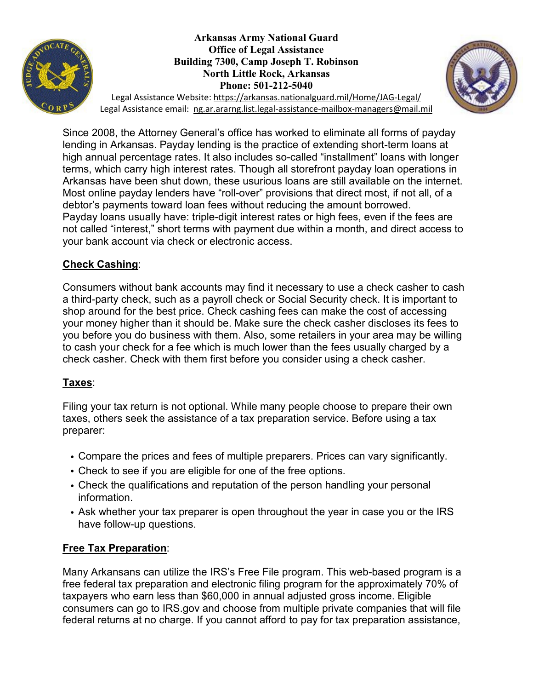



Legal Assistance Website:<https://arkansas.nationalguard.mil/Home/JAG-Legal/> Legal Assistance email: [ng.ar.ararng.list.legal-assistance-mailbox-managers@mail.mil](mailto:ng.ar.ararng.list.legal-assistance-mailbox-managers@mail.mil)

Since 2008, the Attorney General's office has worked to eliminate all forms of payday lending in Arkansas. Payday lending is the practice of extending short-term loans at high annual percentage rates. It also includes so-called "installment" loans with longer terms, which carry high interest rates. Though all storefront payday loan operations in Arkansas have been shut down, these usurious loans are still available on the internet. Most online payday lenders have "roll-over" provisions that direct most, if not all, of a debtor's payments toward loan fees without reducing the amount borrowed. Payday loans usually have: triple-digit interest rates or high fees, even if the fees are not called "interest," short terms with payment due within a month, and direct access to your bank account via check or electronic access.

#### **Check Cashing**:

Consumers without bank accounts may find it necessary to use a check casher to cash a third-party check, such as a payroll check or Social Security check. It is important to shop around for the best price. Check cashing fees can make the cost of accessing your money higher than it should be. Make sure the check casher discloses its fees to you before you do business with them. Also, some retailers in your area may be willing to cash your check for a fee which is much lower than the fees usually charged by a check casher. Check with them first before you consider using a check casher.

## **Taxes**:

Filing your tax return is not optional. While many people choose to prepare their own taxes, others seek the assistance of a tax preparation service. Before using a tax preparer:

- Compare the prices and fees of multiple preparers. Prices can vary significantly.
- Check to see if you are eligible for one of the free options.
- Check the qualifications and reputation of the person handling your personal information.
- Ask whether your tax preparer is open throughout the year in case you or the IRS have follow-up questions.

## **Free Tax Preparation**:

Many Arkansans can utilize the IRS's Free File program. This web-based program is a free federal tax preparation and electronic filing program for the approximately 70% of taxpayers who earn less than \$60,000 in annual adjusted gross income. Eligible consumers can go to IRS.gov and choose from multiple private companies that will file federal returns at no charge. If you cannot afford to pay for tax preparation assistance,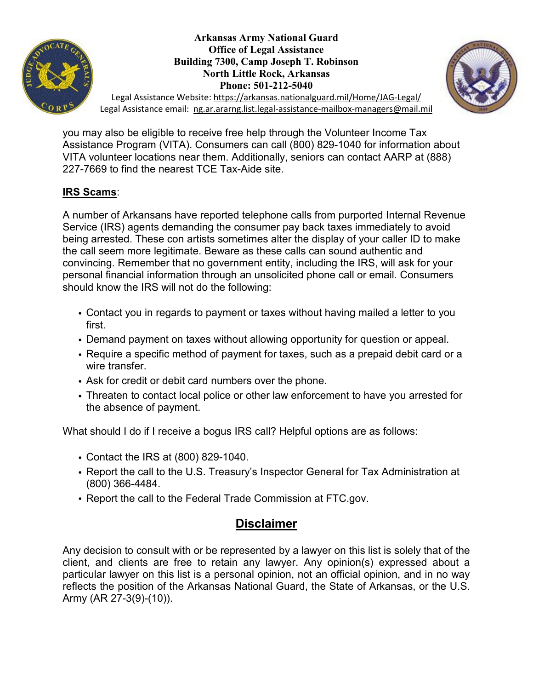



Legal Assistance Website:<https://arkansas.nationalguard.mil/Home/JAG-Legal/> Legal Assistance email: [ng.ar.ararng.list.legal-assistance-mailbox-managers@mail.mil](mailto:ng.ar.ararng.list.legal-assistance-mailbox-managers@mail.mil)

you may also be eligible to receive free help through the Volunteer Income Tax Assistance Program (VITA). Consumers can call (800) 829-1040 for information about VITA volunteer locations near them. Additionally, seniors can contact AARP at (888) 227-7669 to find the nearest TCE Tax-Aide site.

#### **IRS Scams**:

A number of Arkansans have reported telephone calls from purported Internal Revenue Service (IRS) agents demanding the consumer pay back taxes immediately to avoid being arrested. These con artists sometimes alter the display of your caller ID to make the call seem more legitimate. Beware as these calls can sound authentic and convincing. Remember that no government entity, including the IRS, will ask for your personal financial information through an unsolicited phone call or email. Consumers should know the IRS will not do the following:

- Contact you in regards to payment or taxes without having mailed a letter to you first.
- Demand payment on taxes without allowing opportunity for question or appeal.
- Require a specific method of payment for taxes, such as a prepaid debit card or a wire transfer.
- Ask for credit or debit card numbers over the phone.
- Threaten to contact local police or other law enforcement to have you arrested for the absence of payment.

What should I do if I receive a bogus IRS call? Helpful options are as follows:

- Contact the IRS at (800) 829-1040.
- Report the call to the U.S. Treasury's Inspector General for Tax Administration at (800) 366-4484.
- Report the call to the Federal Trade Commission at FTC.gov.

## **Disclaimer**

Any decision to consult with or be represented by a lawyer on this list is solely that of the client, and clients are free to retain any lawyer. Any opinion(s) expressed about a particular lawyer on this list is a personal opinion, not an official opinion, and in no way reflects the position of the Arkansas National Guard, the State of Arkansas, or the U.S. Army (AR 27-3(9)-(10)).